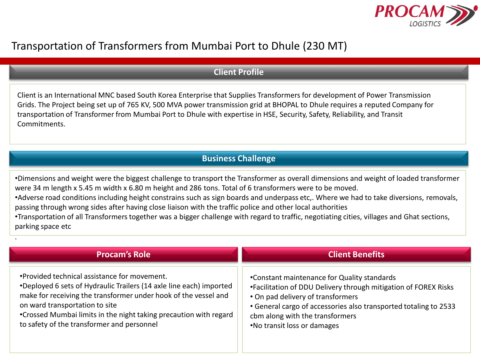

## Transportation of Transformers from Mumbai Port to Dhule (230 MT)

.

## **Client Profile**

Client is an International MNC based South Korea Enterprise that Supplies Transformers for development of Power Transmission Grids. The Project being set up of 765 KV, 500 MVA power transmission grid at BHOPAL to Dhule requires a reputed Company for transportation of Transformer from Mumbai Port to Dhule with expertise in HSE, Security, Safety, Reliability, and Transit Commitments.

## **Business Challenge**

•Dimensions and weight were the biggest challenge to transport the Transformer as overall dimensions and weight of loaded transformer were 34 m length x 5.45 m width x 6.80 m height and 286 tons. Total of 6 transformers were to be moved. •Adverse road conditions including height constrains such as sign boards and underpass etc,. Where we had to take diversions, removals, passing through wrong sides after having close liaison with the traffic police and other local authorities

•Transportation of all Transformers together was a bigger challenge with regard to traffic, negotiating cities, villages and Ghat sections, parking space etc

| <b>Procam's Role</b>                                                | <b>Client Benefits</b>                                           |
|---------------------------------------------------------------------|------------------------------------------------------------------|
| •Provided technical assistance for movement.                        | •Constant maintenance for Quality standards                      |
| •Deployed 6 sets of Hydraulic Trailers (14 axle line each) imported | •Facilitation of DDU Delivery through mitigation of FOREX Risks  |
| make for receiving the transformer under hook of the vessel and     | • On pad delivery of transformers                                |
| on ward transportation to site                                      | • General cargo of accessories also transported totaling to 2533 |
| •Crossed Mumbai limits in the night taking precaution with regard   | cbm along with the transformers                                  |
| to safety of the transformer and personnel                          | .No transit loss or damages                                      |